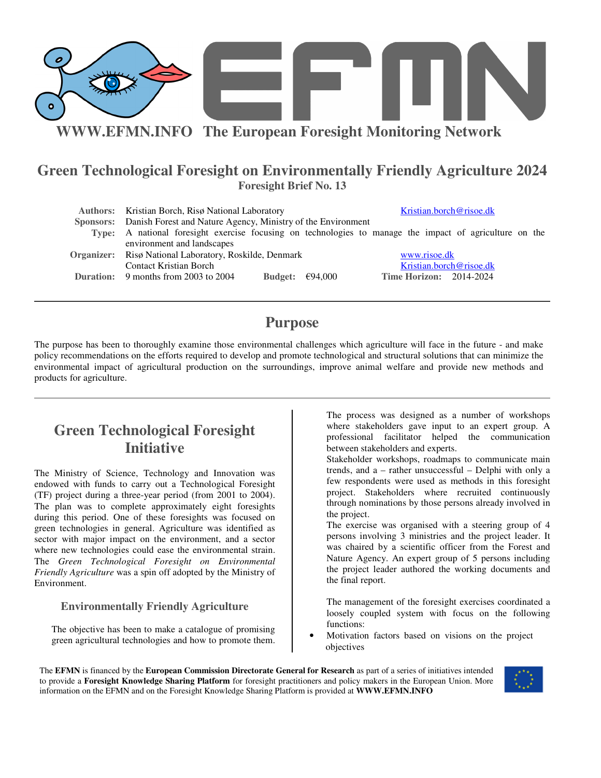

### **Green Technological Foresight on Environmentally Friendly Agriculture 2024 Foresight Brief No. 13**

| Authors: Kristian Borch, Risø National Laboratory                                                       |                           |              | Kristian.borch@risoe.dk        |
|---------------------------------------------------------------------------------------------------------|---------------------------|--------------|--------------------------------|
| Sponsors: Danish Forest and Nature Agency, Ministry of the Environment                                  |                           |              |                                |
| Type: A national foresight exercise focusing on technologies to manage the impact of agriculture on the |                           |              |                                |
| environment and landscapes                                                                              |                           |              |                                |
| <b>Organizer:</b> Risø National Laboratory, Roskilde, Denmark                                           |                           | www.risoe.dk |                                |
| Contact Kristian Borch                                                                                  |                           |              | Kristian.borch@risoe.dk        |
| <b>Duration:</b> 9 months from 2003 to 2004                                                             | Budget: $\epsilon$ 94,000 |              | <b>Time Horizon: 2014-2024</b> |

## **Purpose**

The purpose has been to thoroughly examine those environmental challenges which agriculture will face in the future - and make policy recommendations on the efforts required to develop and promote technological and structural solutions that can minimize the environmental impact of agricultural production on the surroundings, improve animal welfare and provide new methods and products for agriculture.

# **Green Technological Foresight Initiative**

The Ministry of Science, Technology and Innovation was endowed with funds to carry out a Technological Foresight (TF) project during a three-year period (from 2001 to 2004). The plan was to complete approximately eight foresights during this period. One of these foresights was focused on green technologies in general. Agriculture was identified as sector with major impact on the environment, and a sector where new technologies could ease the environmental strain. The *Green Technological Foresight on Environmental Friendly Agriculture* was a spin off adopted by the Ministry of Environment.

### **Environmentally Friendly Agriculture**

The objective has been to make a catalogue of promising green agricultural technologies and how to promote them.

The process was designed as a number of workshops where stakeholders gave input to an expert group. A professional facilitator helped the communication between stakeholders and experts.

Stakeholder workshops, roadmaps to communicate main trends, and a – rather unsuccessful – Delphi with only a few respondents were used as methods in this foresight project. Stakeholders where recruited continuously through nominations by those persons already involved in the project.

The exercise was organised with a steering group of 4 persons involving 3 ministries and the project leader. It was chaired by a scientific officer from the Forest and Nature Agency. An expert group of 5 persons including the project leader authored the working documents and the final report.

The management of the foresight exercises coordinated a loosely coupled system with focus on the following functions:

• Motivation factors based on visions on the project objectives

The **EFMN** is financed by the **European Commission Directorate General for Research** as part of a series of initiatives intended to provide a **Foresight Knowledge Sharing Platform** for foresight practitioners and policy makers in the European Union. More information on the EFMN and on the Foresight Knowledge Sharing Platform is provided at **WWW.EFMN.INFO**

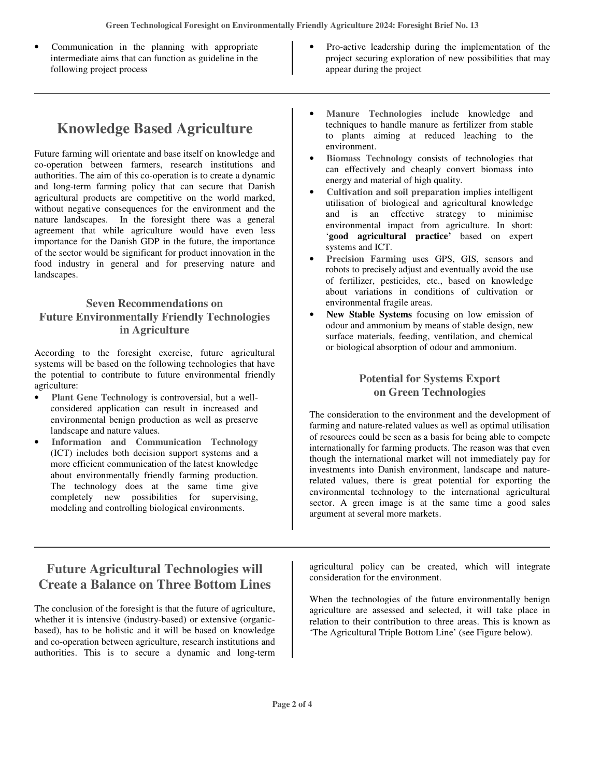- Communication in the planning with appropriate intermediate aims that can function as guideline in the following project process
- Pro-active leadership during the implementation of the project securing exploration of new possibilities that may appear during the project

# **Knowledge Based Agriculture**

Future farming will orientate and base itself on knowledge and co-operation between farmers, research institutions and authorities. The aim of this co-operation is to create a dynamic and long-term farming policy that can secure that Danish agricultural products are competitive on the world marked, without negative consequences for the environment and the nature landscapes. In the foresight there was a general agreement that while agriculture would have even less importance for the Danish GDP in the future, the importance of the sector would be significant for product innovation in the food industry in general and for preserving nature and landscapes.

### **Seven Recommendations on Future Environmentally Friendly Technologies in Agriculture**

According to the foresight exercise, future agricultural systems will be based on the following technologies that have the potential to contribute to future environmental friendly agriculture:

- **Plant Gene Technology** is controversial, but a wellconsidered application can result in increased and environmental benign production as well as preserve landscape and nature values.
- **Information and Communication Technology** (ICT) includes both decision support systems and a more efficient communication of the latest knowledge about environmentally friendly farming production. The technology does at the same time give completely new possibilities for supervising, modeling and controlling biological environments.
- **Manure Technologies** include knowledge and techniques to handle manure as fertilizer from stable to plants aiming at reduced leaching to the environment.
- **Biomass Technology** consists of technologies that can effectively and cheaply convert biomass into energy and material of high quality.
- **Cultivation and soil preparation** implies intelligent utilisation of biological and agricultural knowledge and is an effective strategy to minimise environmental impact from agriculture. In short: '**good agricultural practice'** based on expert systems and ICT.
- **Precision Farming** uses GPS, GIS, sensors and robots to precisely adjust and eventually avoid the use of fertilizer, pesticides, etc., based on knowledge about variations in conditions of cultivation or environmental fragile areas.
- **New Stable Systems** focusing on low emission of odour and ammonium by means of stable design, new surface materials, feeding, ventilation, and chemical or biological absorption of odour and ammonium.

### **Potential for Systems Export on Green Technologies**

The consideration to the environment and the development of farming and nature-related values as well as optimal utilisation of resources could be seen as a basis for being able to compete internationally for farming products. The reason was that even though the international market will not immediately pay for investments into Danish environment, landscape and naturerelated values, there is great potential for exporting the environmental technology to the international agricultural sector. A green image is at the same time a good sales argument at several more markets.

## **Future Agricultural Technologies will Create a Balance on Three Bottom Lines**

The conclusion of the foresight is that the future of agriculture, whether it is intensive (industry-based) or extensive (organicbased), has to be holistic and it will be based on knowledge and co-operation between agriculture, research institutions and authorities. This is to secure a dynamic and long-term agricultural policy can be created, which will integrate consideration for the environment.

When the technologies of the future environmentally benign agriculture are assessed and selected, it will take place in relation to their contribution to three areas. This is known as 'The Agricultural Triple Bottom Line' (see Figure below).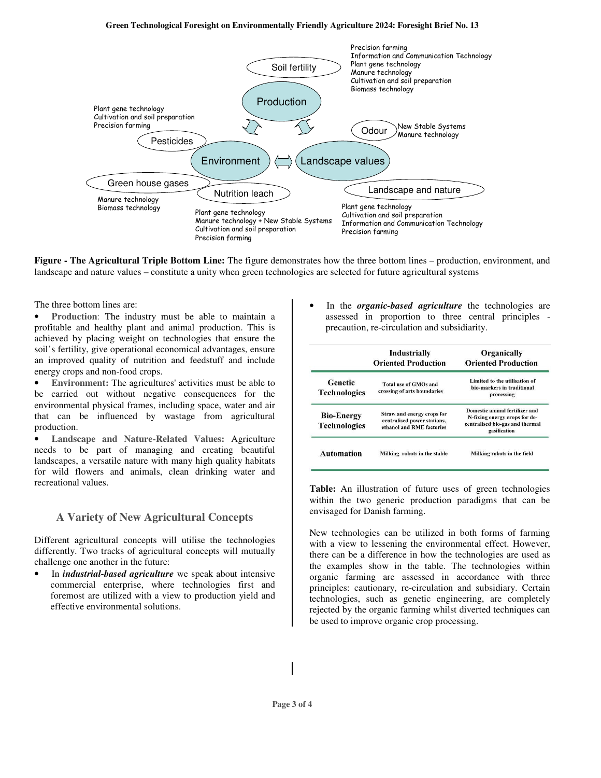#### **Green Technological Foresight on Environmentally Friendly Agriculture 2024: Foresight Brief No. 13**



**Figure - The Agricultural Triple Bottom Line:** The figure demonstrates how the three bottom lines – production, environment, and landscape and nature values – constitute a unity when green technologies are selected for future agricultural systems

The three bottom lines are:

• **Production**: The industry must be able to maintain a profitable and healthy plant and animal production. This is achieved by placing weight on technologies that ensure the soil's fertility, give operational economical advantages, ensure an improved quality of nutrition and feedstuff and include energy crops and non-food crops.

• **Environment:** The agricultures'activities must be able to be carried out without negative consequences for the environmental physical frames, including space, water and air that can be influenced by wastage from agricultural production.

• **Landscape and Nature-Related Values:** Agriculture needs to be part of managing and creating beautiful landscapes, a versatile nature with many high quality habitats for wild flowers and animals, clean drinking water and recreational values.

#### **A Variety of New Agricultural Concepts**

Different agricultural concepts will utilise the technologies differently. Two tracks of agricultural concepts will mutually challenge one another in the future:

• In *industrial-based agriculture* we speak about intensive commercial enterprise, where technologies first and foremost are utilized with a view to production yield and effective environmental solutions.

• In the *organic-based agriculture* the technologies are assessed in proportion to three central principles precaution, re-circulation and subsidiarity.

|                                          | Industrially<br><b>Oriented Production</b>                                             | Organically<br><b>Oriented Production</b>                                                                          |
|------------------------------------------|----------------------------------------------------------------------------------------|--------------------------------------------------------------------------------------------------------------------|
| Genetic<br><b>Technologies</b>           | Total use of GMOs and<br>crossing of arts boundaries                                   | Limited to the utilisation of<br>bio-markers in traditional<br>processing                                          |
| <b>Bio-Energy</b><br><b>Technologies</b> | Straw and energy crops for<br>centralised power stations,<br>ethanol and RME factories | Domestic animal fertilizer and<br>N-fixing energy crops for de-<br>centralised bio-gas and thermal<br>gasification |
| <b>Automation</b>                        | Milking robots in the stable                                                           | Milking robots in the field                                                                                        |

**Table:** An illustration of future uses of green technologies within the two generic production paradigms that can be envisaged for Danish farming.

New technologies can be utilized in both forms of farming with a view to lessening the environmental effect. However, there can be a difference in how the technologies are used as the examples show in the table. The technologies within organic farming are assessed in accordance with three principles: cautionary, re-circulation and subsidiary. Certain technologies, such as genetic engineering, are completely rejected by the organic farming whilst diverted techniques can be used to improve organic crop processing.